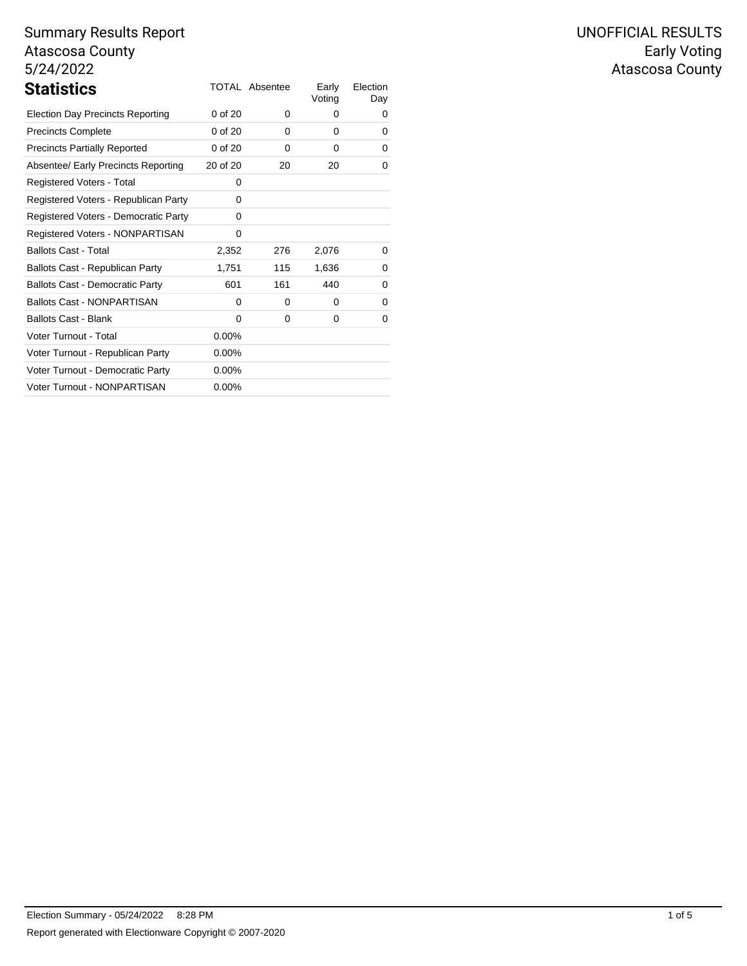| <b>Statistics</b>                       |             | <b>TOTAL Absentee</b> | Early<br>Voting | Election<br>Day |
|-----------------------------------------|-------------|-----------------------|-----------------|-----------------|
| <b>Election Day Precincts Reporting</b> | 0 of 20     | 0                     | 0               | 0               |
| <b>Precincts Complete</b>               | 0 of 20     | 0                     | 0               | 0               |
| <b>Precincts Partially Reported</b>     | $0$ of $20$ | 0                     | 0               | 0               |
| Absentee/ Early Precincts Reporting     | 20 of 20    | 20                    | 20              | 0               |
| Registered Voters - Total               | 0           |                       |                 |                 |
| Registered Voters - Republican Party    | 0           |                       |                 |                 |
| Registered Voters - Democratic Party    | 0           |                       |                 |                 |
| Registered Voters - NONPARTISAN         | 0           |                       |                 |                 |
| <b>Ballots Cast - Total</b>             | 2,352       | 276                   | 2,076           | 0               |
| Ballots Cast - Republican Party         | 1,751       | 115                   | 1,636           | 0               |
| <b>Ballots Cast - Democratic Party</b>  | 601         | 161                   | 440             | 0               |
| <b>Ballots Cast - NONPARTISAN</b>       | 0           | 0                     | 0               | 0               |
| <b>Ballots Cast - Blank</b>             | 0           | 0                     | 0               | 0               |
| Voter Turnout - Total                   | $0.00\%$    |                       |                 |                 |
| Voter Turnout - Republican Party        | $0.00\%$    |                       |                 |                 |
| Voter Turnout - Democratic Party        | $0.00\%$    |                       |                 |                 |
| Voter Turnout - NONPARTISAN             | $0.00\%$    |                       |                 |                 |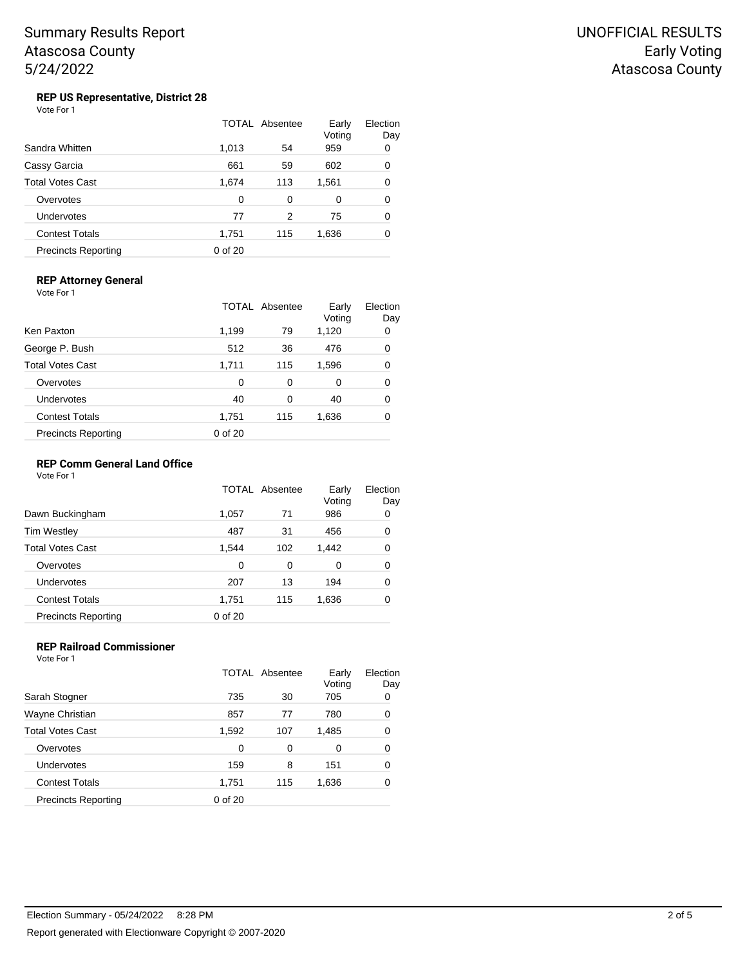## **REP US Representative, District 28**

| Vote For 1 |  |
|------------|--|
|------------|--|

|                            |         | TOTAL Absentee | Early<br>Voting | Election<br>Day |
|----------------------------|---------|----------------|-----------------|-----------------|
| Sandra Whitten             | 1,013   | 54             | 959             | 0               |
| Cassy Garcia               | 661     | 59             | 602             | 0               |
| Total Votes Cast           | 1,674   | 113            | 1,561           | 0               |
| Overvotes                  | 0       | 0              | 0               | 0               |
| Undervotes                 | 77      | 2              | 75              | 0               |
| <b>Contest Totals</b>      | 1,751   | 115            | 1,636           | 0               |
| <b>Precincts Reporting</b> | 0 of 20 |                |                 |                 |

## **REP Attorney General**

Vote For 1

|                            |         | TOTAL Absentee | Early<br>Voting | Election<br>Day |
|----------------------------|---------|----------------|-----------------|-----------------|
| Ken Paxton                 | 1,199   | 79             | 1,120           | 0               |
| George P. Bush             | 512     | 36             | 476             | 0               |
| Total Votes Cast           | 1,711   | 115            | 1,596           | 0               |
| Overvotes                  | 0       | 0              | 0               | 0               |
| <b>Undervotes</b>          | 40      | 0              | 40              | 0               |
| <b>Contest Totals</b>      | 1,751   | 115            | 1,636           | 0               |
| <b>Precincts Reporting</b> | 0 of 20 |                |                 |                 |
|                            |         |                |                 |                 |

### **REP Comm General Land Office**

Vote For 1

|                            |         | TOTAL Absentee | Early<br>Voting | Election<br>Day |
|----------------------------|---------|----------------|-----------------|-----------------|
| Dawn Buckingham            | 1,057   | 71             | 986             | 0               |
| Tim Westley                | 487     | 31             | 456             | 0               |
| Total Votes Cast           | 1,544   | 102            | 1,442           | 0               |
| Overvotes                  | 0       | 0              | 0               | 0               |
| Undervotes                 | 207     | 13             | 194             | 0               |
| <b>Contest Totals</b>      | 1,751   | 115            | 1,636           | 0               |
| <b>Precincts Reporting</b> | 0 of 20 |                |                 |                 |

## **REP Railroad Commissioner**

Vote For 1

|                            |         | TOTAL Absentee | Early<br>Voting | Election<br>Day |
|----------------------------|---------|----------------|-----------------|-----------------|
| Sarah Stogner              | 735     | 30             | 705             | 0               |
| Wayne Christian            | 857     | 77             | 780             | 0               |
| <b>Total Votes Cast</b>    | 1,592   | 107            | 1,485           | 0               |
| Overvotes                  | 0       | 0              | 0               | 0               |
| Undervotes                 | 159     | 8              | 151             | 0               |
| <b>Contest Totals</b>      | 1,751   | 115            | 1,636           | 0               |
| <b>Precincts Reporting</b> | 0 of 20 |                |                 |                 |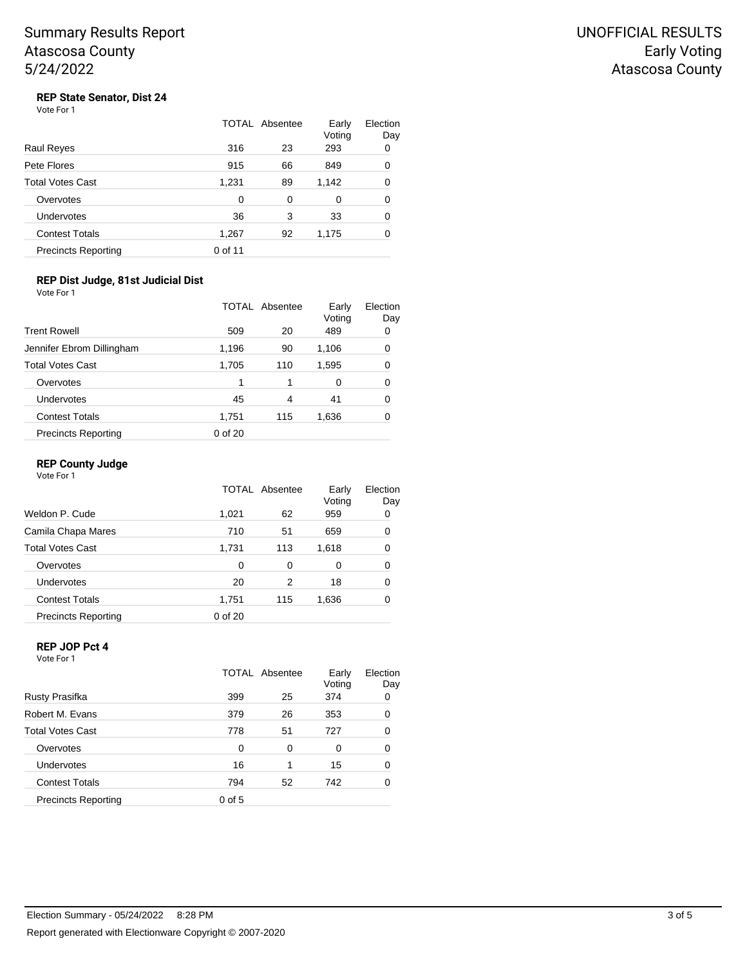UNOFFICIAL RESULTS Early Voting Atascosa County

## **REP State Senator, Dist 24**

| Vote For 1 |  |
|------------|--|
|------------|--|

|                            |         | TOTAL Absentee | Early<br>Voting | Election<br>Day |
|----------------------------|---------|----------------|-----------------|-----------------|
| Raul Reyes                 | 316     | 23             | 293             | 0               |
| Pete Flores                | 915     | 66             | 849             | 0               |
| Total Votes Cast           | 1,231   | 89             | 1,142           | 0               |
| Overvotes                  | 0       | 0              | 0               | 0               |
| Undervotes                 | 36      | 3              | 33              | 0               |
| <b>Contest Totals</b>      | 1,267   | 92             | 1,175           | 0               |
| <b>Precincts Reporting</b> | 0 of 11 |                |                 |                 |

#### **REP Dist Judge, 81st Judicial Dist** Vote For 1

|                            |         | <b>TOTAL Absentee</b> | Early<br>Voting | Election<br>Day |
|----------------------------|---------|-----------------------|-----------------|-----------------|
| <b>Trent Rowell</b>        | 509     | 20                    | 489             | 0               |
| Jennifer Ebrom Dillingham  | 1,196   | 90                    | 1,106           | 0               |
| <b>Total Votes Cast</b>    | 1,705   | 110                   | 1,595           | 0               |
| Overvotes                  |         | 1                     | 0               | 0               |
| Undervotes                 | 45      | 4                     | 41              | 0               |
| <b>Contest Totals</b>      | 1,751   | 115                   | 1,636           | 0               |
| <b>Precincts Reporting</b> | 0 of 20 |                       |                 |                 |

### **REP County Judge**

Vote For 1

|                            |         | TOTAL Absentee | Early<br>Voting | Election<br>Day |
|----------------------------|---------|----------------|-----------------|-----------------|
| Weldon P. Cude             | 1,021   | 62             | 959             | 0               |
| Camila Chapa Mares         | 710     | 51             | 659             | 0               |
| <b>Total Votes Cast</b>    | 1,731   | 113            | 1,618           | 0               |
| Overvotes                  | 0       | 0              | 0               | 0               |
| <b>Undervotes</b>          | 20      | 2              | 18              | 0               |
| <b>Contest Totals</b>      | 1,751   | 115            | 1,636           | 0               |
| <b>Precincts Reporting</b> | 0 of 20 |                |                 |                 |

## **REP JOP Pct 4**

Vote For 1

|                            |          | TOTAL Absentee | Early<br>Voting | Election<br>Day |
|----------------------------|----------|----------------|-----------------|-----------------|
| Rusty Prasifka             | 399      | 25             | 374             | 0               |
| Robert M. Evans            | 379      | 26             | 353             | 0               |
| <b>Total Votes Cast</b>    | 778      | 51             | 727             | 0               |
| Overvotes                  | 0        | 0              | 0               | 0               |
| Undervotes                 | 16       | 1              | 15              | 0               |
| <b>Contest Totals</b>      | 794      | 52             | 742             | 0               |
| <b>Precincts Reporting</b> | $0$ of 5 |                |                 |                 |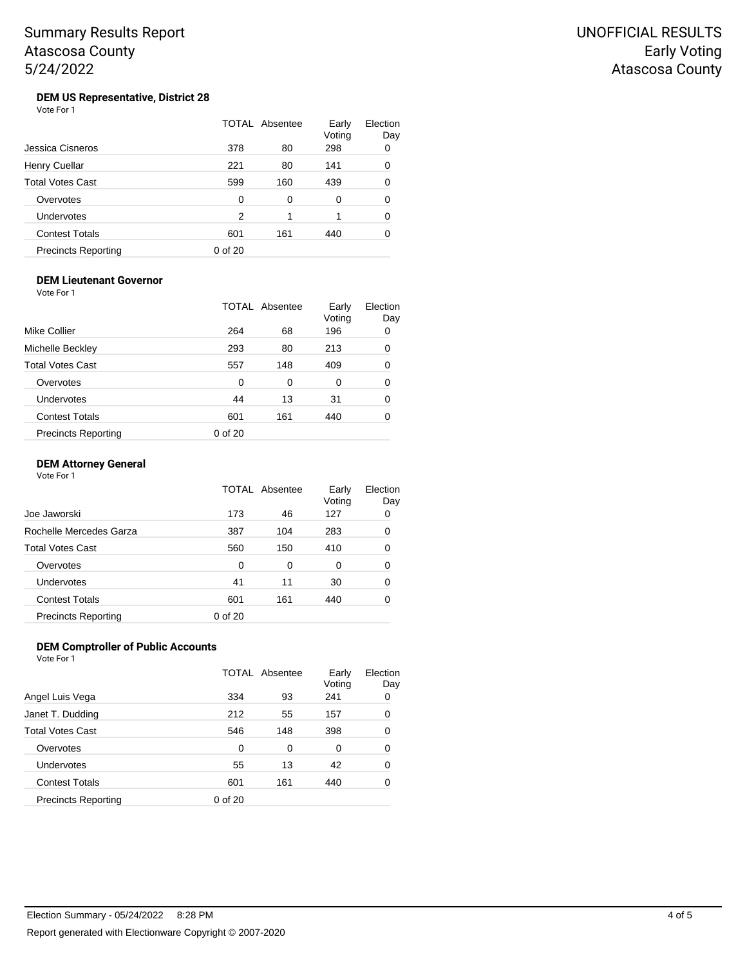#### **DEM US Representative, District 28** Vote For 1

|                            |         | TOTAL Absentee | Early<br>Voting | Election<br>Day |
|----------------------------|---------|----------------|-----------------|-----------------|
| Jessica Cisneros           | 378     | 80             | 298             | 0               |
| Henry Cuellar              | 221     | 80             | 141             | 0               |
| <b>Total Votes Cast</b>    | 599     | 160            | 439             | 0               |
| Overvotes                  | O       | 0              | 0               | 0               |
| Undervotes                 | 2       | 1              |                 | 0               |
| <b>Contest Totals</b>      | 601     | 161            | 440             | ი               |
| <b>Precincts Reporting</b> | 0 of 20 |                |                 |                 |

#### **DEM Lieutenant Governor** Vote For 1

|                            |         | TOTAL Absentee | Early<br>Voting | Election<br>Day |
|----------------------------|---------|----------------|-----------------|-----------------|
| Mike Collier               | 264     | 68             | 196             | 0               |
| Michelle Beckley           | 293     | 80             | 213             | 0               |
| Total Votes Cast           | 557     | 148            | 409             | 0               |
| Overvotes                  | 0       | 0              | 0               | 0               |
| <b>Undervotes</b>          | 44      | 13             | 31              | 0               |
| <b>Contest Totals</b>      | 601     | 161            | 440             | 0               |
| <b>Precincts Reporting</b> | 0 of 20 |                |                 |                 |

### **DEM Attorney General**

Vote For 1

|                            |          | TOTAL Absentee | Early<br>Voting | Election<br>Day |
|----------------------------|----------|----------------|-----------------|-----------------|
| Joe Jaworski               | 173      | 46             | 127             | 0               |
| Rochelle Mercedes Garza    | 387      | 104            | 283             | 0               |
| <b>Total Votes Cast</b>    | 560      | 150            | 410             | 0               |
| Overvotes                  | $\Omega$ | 0              | 0               | 0               |
| Undervotes                 | 41       | 11             | 30              | 0               |
| <b>Contest Totals</b>      | 601      | 161            | 440             | 0               |
| <b>Precincts Reporting</b> | 0 of 20  |                |                 |                 |

#### **DEM Comptroller of Public Accounts** Vote For 1

|                            |         | <b>TOTAL Absentee</b> | Early<br>Voting | Election<br>Day |
|----------------------------|---------|-----------------------|-----------------|-----------------|
| Angel Luis Vega            | 334     | 93                    | 241             | 0               |
| Janet T. Dudding           | 212     | 55                    | 157             | 0               |
| <b>Total Votes Cast</b>    | 546     | 148                   | 398             | 0               |
| Overvotes                  | 0       | 0                     | 0               | 0               |
| Undervotes                 | 55      | 13                    | 42              | 0               |
| <b>Contest Totals</b>      | 601     | 161                   | 440             | 0               |
| <b>Precincts Reporting</b> | 0 of 20 |                       |                 |                 |